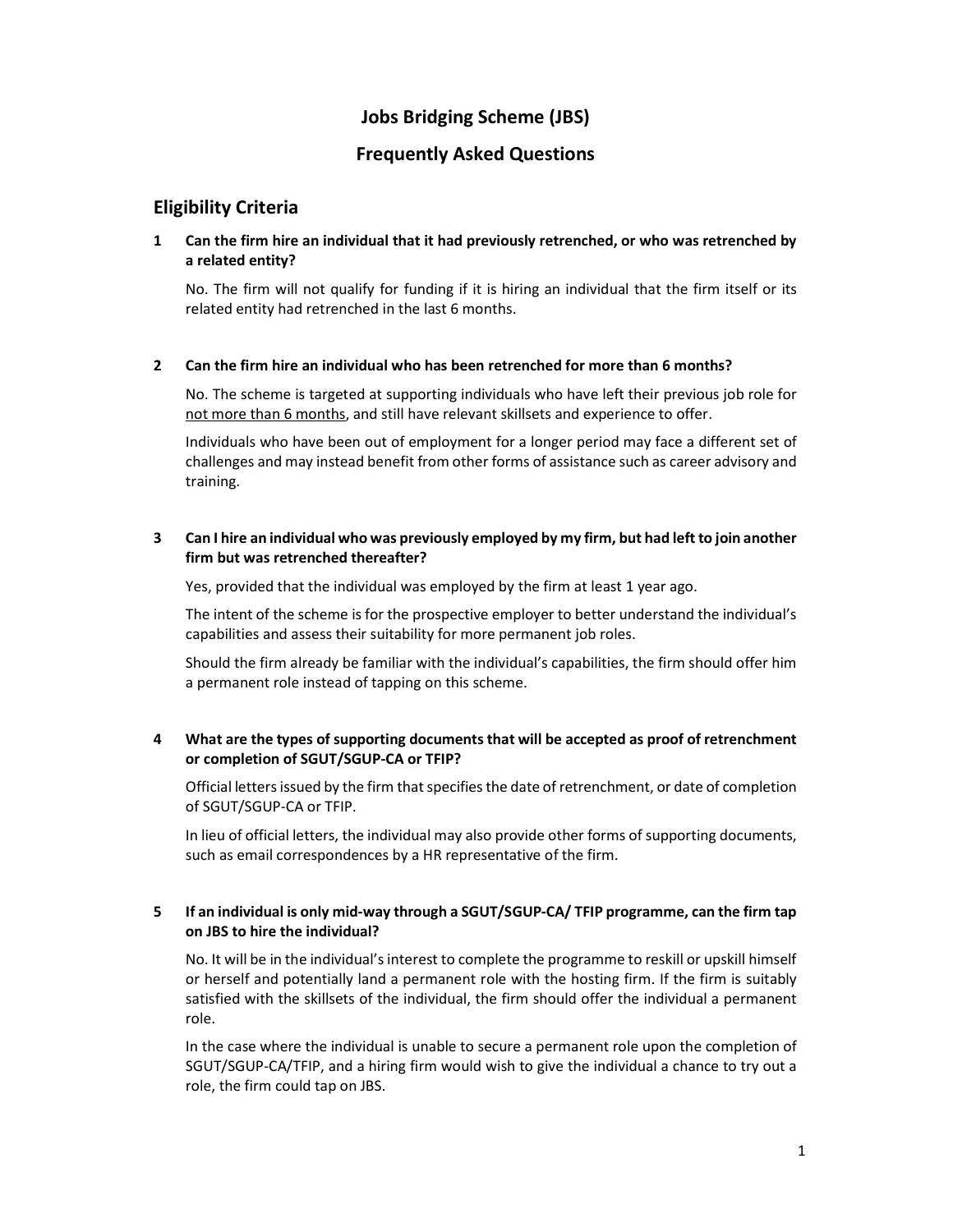# Jobs Bridging Scheme (JBS)

# Frequently Asked Questions

# Eligibility Criteria

## 1 Can the firm hire an individual that it had previously retrenched, or who was retrenched by a related entity?

No. The firm will not qualify for funding if it is hiring an individual that the firm itself or its related entity had retrenched in the last 6 months.

### 2 Can the firm hire an individual who has been retrenched for more than 6 months?

No. The scheme is targeted at supporting individuals who have left their previous job role for not more than 6 months, and still have relevant skillsets and experience to offer.

Individuals who have been out of employment for a longer period may face a different set of challenges and may instead benefit from other forms of assistance such as career advisory and training.

## 3 Can I hire an individual who was previously employed by my firm, but had left to join another firm but was retrenched thereafter?

Yes, provided that the individual was employed by the firm at least 1 year ago.

The intent of the scheme is for the prospective employer to better understand the individual's capabilities and assess their suitability for more permanent job roles.

Should the firm already be familiar with the individual's capabilities, the firm should offer him a permanent role instead of tapping on this scheme.

## 4 What are the types of supporting documents that will be accepted as proof of retrenchment or completion of SGUT/SGUP-CA or TFIP?

Official letters issued by the firm that specifies the date of retrenchment, or date of completion of SGUT/SGUP-CA or TFIP.

In lieu of official letters, the individual may also provide other forms of supporting documents, such as email correspondences by a HR representative of the firm.

## 5 If an individual is only mid-way through a SGUT/SGUP-CA/ TFIP programme, can the firm tap on JBS to hire the individual?

No. It will be in the individual's interest to complete the programme to reskill or upskill himself or herself and potentially land a permanent role with the hosting firm. If the firm is suitably satisfied with the skillsets of the individual, the firm should offer the individual a permanent role.

In the case where the individual is unable to secure a permanent role upon the completion of SGUT/SGUP-CA/TFIP, and a hiring firm would wish to give the individual a chance to try out a role, the firm could tap on JBS.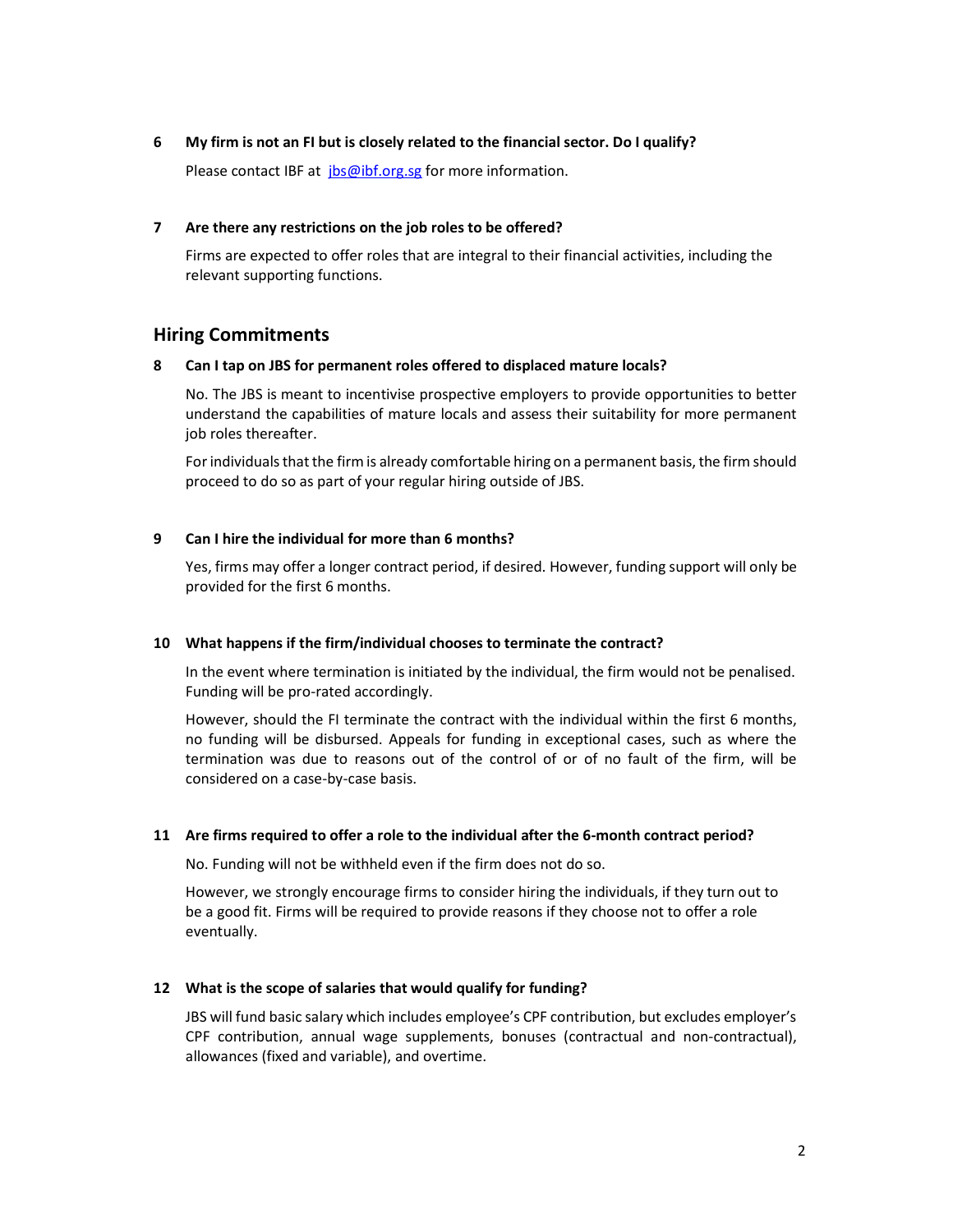### 6 My firm is not an FI but is closely related to the financial sector. Do I qualify?

Please contact IBF at *jbs@ibf.org.sg* for more information.

### 7 Are there any restrictions on the job roles to be offered?

Firms are expected to offer roles that are integral to their financial activities, including the relevant supporting functions.

## Hiring Commitments

#### 8 Can I tap on JBS for permanent roles offered to displaced mature locals?

No. The JBS is meant to incentivise prospective employers to provide opportunities to better understand the capabilities of mature locals and assess their suitability for more permanent job roles thereafter.

For individuals that the firm is already comfortable hiring on a permanent basis, the firm should proceed to do so as part of your regular hiring outside of JBS.

### 9 Can I hire the individual for more than 6 months?

Yes, firms may offer a longer contract period, if desired. However, funding support will only be provided for the first 6 months.

#### 10 What happens if the firm/individual chooses to terminate the contract?

In the event where termination is initiated by the individual, the firm would not be penalised. Funding will be pro-rated accordingly.

However, should the FI terminate the contract with the individual within the first 6 months, no funding will be disbursed. Appeals for funding in exceptional cases, such as where the termination was due to reasons out of the control of or of no fault of the firm, will be considered on a case-by-case basis.

#### 11 Are firms required to offer a role to the individual after the 6-month contract period?

No. Funding will not be withheld even if the firm does not do so.

However, we strongly encourage firms to consider hiring the individuals, if they turn out to be a good fit. Firms will be required to provide reasons if they choose not to offer a role eventually.

### 12 What is the scope of salaries that would qualify for funding?

JBS will fund basic salary which includes employee's CPF contribution, but excludes employer's CPF contribution, annual wage supplements, bonuses (contractual and non-contractual), allowances (fixed and variable), and overtime.